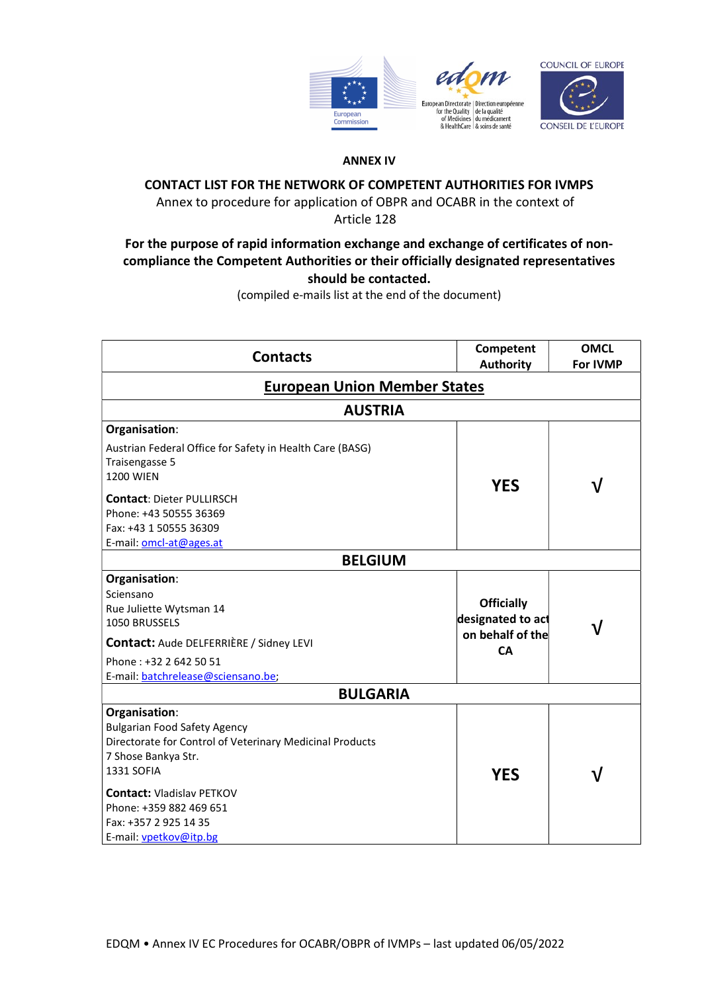



## ANNEX IV

## CONTACT LIST FOR THE NETWORK OF COMPETENT AUTHORITIES FOR IVMPS

Annex to procedure for application of OBPR and OCABR in the context of

Article 128

## For the purpose of rapid information exchange and exchange of certificates of noncompliance the Competent Authorities or their officially designated representatives should be contacted.

(compiled e-mails list at the end of the document)

| <b>Contacts</b>                                          | Competent<br><b>Authority</b> | <b>OMCL</b><br>For IVMP |
|----------------------------------------------------------|-------------------------------|-------------------------|
| <b>European Union Member States</b>                      |                               |                         |
| <b>AUSTRIA</b>                                           |                               |                         |
| Organisation:                                            |                               |                         |
| Austrian Federal Office for Safety in Health Care (BASG) |                               |                         |
| Traisengasse 5                                           |                               |                         |
| <b>1200 WIEN</b>                                         |                               |                         |
|                                                          | <b>YES</b>                    | V                       |
| <b>Contact: Dieter PULLIRSCH</b>                         |                               |                         |
| Phone: +43 50555 36369                                   |                               |                         |
| Fax: +43 1 50555 36309                                   |                               |                         |
| E-mail: omcl-at@ages.at                                  |                               |                         |
| <b>BELGIUM</b>                                           |                               |                         |
| Organisation:                                            |                               |                         |
| Sciensano                                                |                               |                         |
| Rue Juliette Wytsman 14                                  | <b>Officially</b>             |                         |
| 1050 BRUSSELS                                            | designated to act             |                         |
| Contact: Aude DELFERRIÈRE / Sidney LEVI                  | on behalf of the<br><b>CA</b> |                         |
| Phone: +32 2 642 50 51                                   |                               |                         |
| E-mail: batchrelease@sciensano.be;                       |                               |                         |
| <b>BULGARIA</b>                                          |                               |                         |
| Organisation:                                            |                               |                         |
| <b>Bulgarian Food Safety Agency</b>                      |                               |                         |
| Directorate for Control of Veterinary Medicinal Products |                               |                         |
| 7 Shose Bankya Str.                                      |                               |                         |
| 1331 SOFIA                                               | <b>YES</b>                    | ٦I                      |
| <b>Contact: Vladislav PETKOV</b>                         |                               |                         |
| Phone: +359 882 469 651                                  |                               |                         |
| Fax: +357 2 925 14 35                                    |                               |                         |
| E-mail: vpetkov@itp.bg                                   |                               |                         |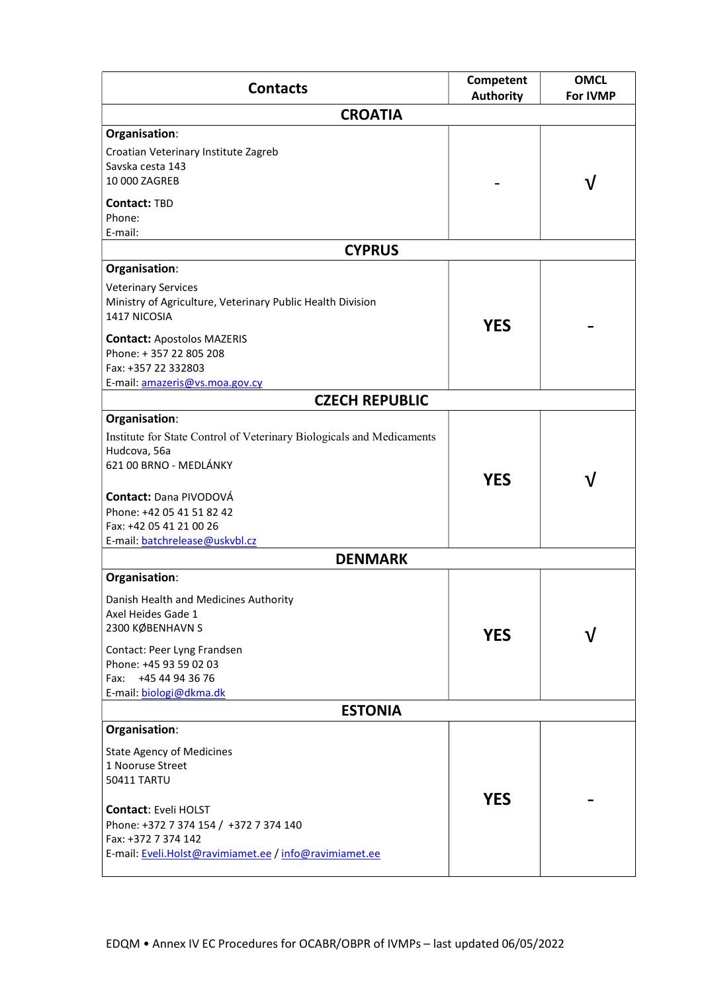| <b>Contacts</b>                                                                                                                                                         | Competent<br><b>Authority</b> | <b>OMCL</b><br><b>For IVMP</b> |
|-------------------------------------------------------------------------------------------------------------------------------------------------------------------------|-------------------------------|--------------------------------|
| <b>CROATIA</b>                                                                                                                                                          |                               |                                |
| Organisation:                                                                                                                                                           |                               |                                |
| Croatian Veterinary Institute Zagreb<br>Savska cesta 143<br>10 000 ZAGREB                                                                                               |                               | V                              |
| <b>Contact: TBD</b><br>Phone:<br>E-mail:                                                                                                                                |                               |                                |
| <b>CYPRUS</b>                                                                                                                                                           |                               |                                |
| Organisation:                                                                                                                                                           |                               |                                |
| <b>Veterinary Services</b><br>Ministry of Agriculture, Veterinary Public Health Division<br>1417 NICOSIA<br><b>Contact: Apostolos MAZERIS</b><br>Phone: +357 22 805 208 | <b>YES</b>                    |                                |
| Fax: +357 22 332803                                                                                                                                                     |                               |                                |
| E-mail: amazeris@vs.moa.gov.cy<br><b>CZECH REPUBLIC</b>                                                                                                                 |                               |                                |
| Organisation:                                                                                                                                                           |                               |                                |
| Institute for State Control of Veterinary Biologicals and Medicaments<br>Hudcova, 56a<br>621 00 BRNO - MEDLÁNKY                                                         | <b>YES</b>                    | V                              |
| <b>Contact: Dana PIVODOVÁ</b><br>Phone: +42 05 41 51 82 42<br>Fax: +42 05 41 21 00 26<br>E-mail: batchrelease@uskybl.cz                                                 |                               |                                |
| <b>DENMARK</b>                                                                                                                                                          |                               |                                |
| Organisation:                                                                                                                                                           |                               |                                |
| Danish Health and Medicines Authority<br>Axel Heides Gade 1<br>2300 KØBENHAVN S                                                                                         | <b>YES</b>                    |                                |
| Contact: Peer Lyng Frandsen<br>Phone: +45 93 59 02 03<br>+45 44 94 36 76<br>Fax:<br>E-mail: biologi@dkma.dk                                                             |                               |                                |
| <b>ESTONIA</b>                                                                                                                                                          |                               |                                |
| Organisation:                                                                                                                                                           |                               |                                |
| <b>State Agency of Medicines</b><br>1 Nooruse Street<br>50411 TARTU<br><b>Contact: Eveli HOLST</b>                                                                      | <b>YES</b>                    |                                |
| Phone: +372 7 374 154 / +372 7 374 140<br>Fax: +372 7 374 142<br>E-mail: Eveli.Holst@ravimiamet.ee / info@ravimiamet.ee                                                 |                               |                                |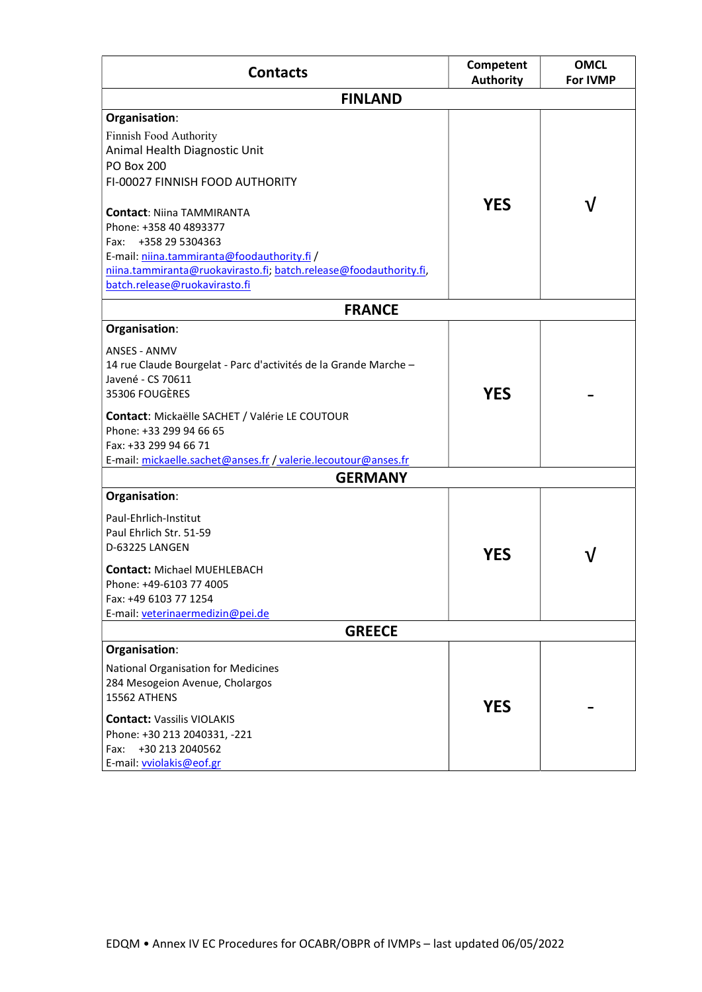| <b>Contacts</b>                                                                                                                                                                                                                                                                                                                | Competent<br><b>Authority</b> | <b>OMCL</b><br><b>For IVMP</b> |
|--------------------------------------------------------------------------------------------------------------------------------------------------------------------------------------------------------------------------------------------------------------------------------------------------------------------------------|-------------------------------|--------------------------------|
| <b>FINLAND</b>                                                                                                                                                                                                                                                                                                                 |                               |                                |
| Organisation:<br>Finnish Food Authority<br>Animal Health Diagnostic Unit<br><b>PO Box 200</b><br>FI-00027 FINNISH FOOD AUTHORITY                                                                                                                                                                                               |                               |                                |
| <b>Contact: Niina TAMMIRANTA</b><br>Phone: +358 40 4893377<br>Fax: +358 29 5304363<br>E-mail: niina.tammiranta@foodauthority.fi /<br>niina.tammiranta@ruokavirasto.fi; batch.release@foodauthority.fi,<br>batch.release@ruokavirasto.fi                                                                                        | <b>YES</b>                    |                                |
| <b>FRANCE</b>                                                                                                                                                                                                                                                                                                                  |                               |                                |
| Organisation:<br><b>ANSES - ANMV</b><br>14 rue Claude Bourgelat - Parc d'activités de la Grande Marche -<br>Javené - CS 70611<br>35306 FOUGÈRES<br><b>Contact:</b> Mickaëlle SACHET / Valérie LE COUTOUR<br>Phone: +33 299 94 66 65<br>Fax: +33 299 94 66 71<br>E-mail: mickaelle.sachet@anses.fr / valerie.lecoutour@anses.fr | <b>YES</b>                    |                                |
| <b>GERMANY</b>                                                                                                                                                                                                                                                                                                                 |                               |                                |
| Organisation:<br>Paul-Ehrlich-Institut<br>Paul Ehrlich Str. 51-59<br>D-63225 LANGEN<br><b>Contact: Michael MUEHLEBACH</b><br>Phone: +49-6103 77 4005<br>Fax: +49 6103 77 1254<br>E-mail: veterinaermedizin@pei.de                                                                                                              | <b>YES</b>                    |                                |
| <b>GREECE</b>                                                                                                                                                                                                                                                                                                                  |                               |                                |
| Organisation:<br><b>National Organisation for Medicines</b><br>284 Mesogeion Avenue, Cholargos<br>15562 ATHENS<br><b>Contact: Vassilis VIOLAKIS</b><br>Phone: +30 213 2040331, -221<br>+30 213 2040562<br>Fax:<br>E-mail: vviolakis@eof.gr                                                                                     | <b>YES</b>                    |                                |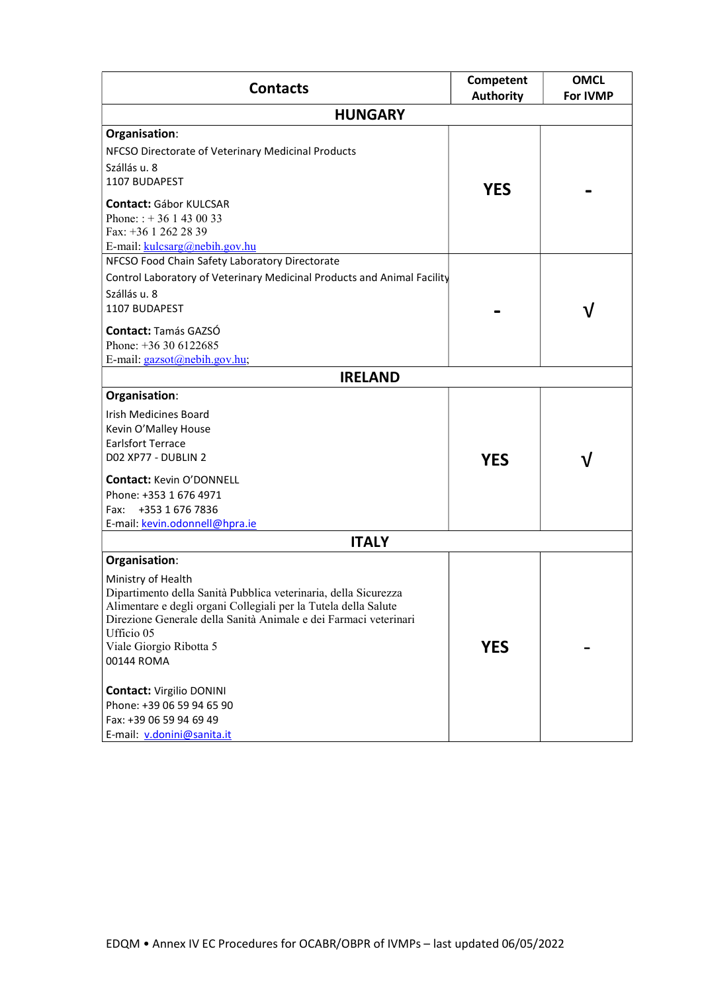| <b>Contacts</b>                                                                | Competent<br><b>Authority</b> | <b>OMCL</b><br><b>For IVMP</b> |
|--------------------------------------------------------------------------------|-------------------------------|--------------------------------|
| <b>HUNGARY</b>                                                                 |                               |                                |
| Organisation:                                                                  |                               |                                |
| NFCSO Directorate of Veterinary Medicinal Products                             |                               |                                |
| Szállás u. 8                                                                   |                               |                                |
| 1107 BUDAPEST                                                                  | <b>YES</b>                    |                                |
| <b>Contact: Gábor KULCSAR</b>                                                  |                               |                                |
| Phone: $: +361430033$                                                          |                               |                                |
| Fax: +36 1 262 28 39                                                           |                               |                                |
| E-mail: kulcsarg@nebih.gov.hu                                                  |                               |                                |
| NFCSO Food Chain Safety Laboratory Directorate                                 |                               |                                |
| Control Laboratory of Veterinary Medicinal Products and Animal Facility        |                               |                                |
| Szállás u. 8                                                                   |                               |                                |
| 1107 BUDAPEST                                                                  |                               | ν                              |
| <b>Contact: Tamás GAZSÓ</b>                                                    |                               |                                |
| Phone: +36 30 6122685                                                          |                               |                                |
| E-mail: gazsot@nebih.gov.hu;                                                   |                               |                                |
| <b>IRELAND</b>                                                                 |                               |                                |
| Organisation:                                                                  |                               |                                |
| <b>Irish Medicines Board</b>                                                   |                               |                                |
| Kevin O'Malley House                                                           |                               |                                |
| <b>Earlsfort Terrace</b>                                                       |                               |                                |
| <b>D02 XP77 - DUBLIN 2</b>                                                     | <b>YES</b>                    |                                |
| <b>Contact: Kevin O'DONNELL</b>                                                |                               |                                |
| Phone: +353 1 676 4971                                                         |                               |                                |
| +353 1 676 7836<br>Fax:                                                        |                               |                                |
| E-mail: kevin.odonnell@hpra.ie                                                 |                               |                                |
| <b>ITALY</b>                                                                   |                               |                                |
| Organisation:                                                                  |                               |                                |
| Ministry of Health                                                             |                               |                                |
| Dipartimento della Sanità Pubblica veterinaria, della Sicurezza                |                               |                                |
| Alimentare e degli organi Collegiali per la Tutela della Salute                |                               |                                |
| Direzione Generale della Sanità Animale e dei Farmaci veterinari<br>Ufficio 05 |                               |                                |
| Viale Giorgio Ribotta 5                                                        | <b>YES</b>                    |                                |
| 00144 ROMA                                                                     |                               |                                |
|                                                                                |                               |                                |
| <b>Contact: Virgilio DONINI</b>                                                |                               |                                |
| Phone: +39 06 59 94 65 90                                                      |                               |                                |
| Fax: +39 06 59 94 69 49                                                        |                               |                                |
| E-mail: v.donini@sanita.it                                                     |                               |                                |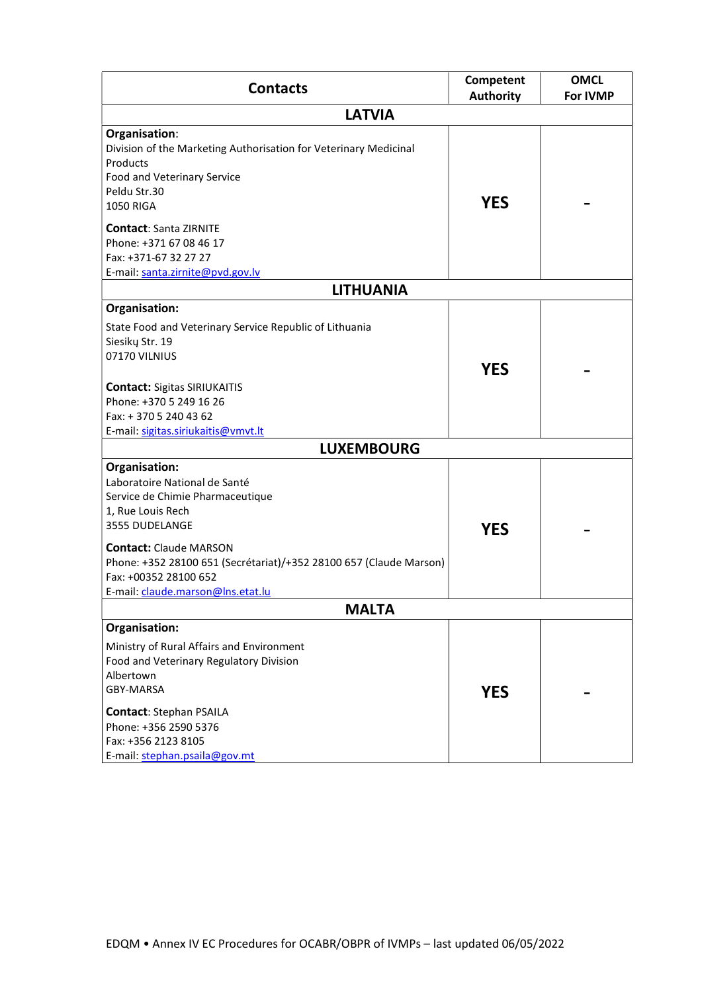| <b>Contacts</b>                                                    | Competent        | <b>OMCL</b> |
|--------------------------------------------------------------------|------------------|-------------|
|                                                                    | <b>Authority</b> | For IVMP    |
| <b>LATVIA</b>                                                      |                  |             |
| Organisation:                                                      |                  |             |
| Division of the Marketing Authorisation for Veterinary Medicinal   |                  |             |
| Products                                                           |                  |             |
| Food and Veterinary Service                                        |                  |             |
| Peldu Str.30                                                       | <b>YES</b>       |             |
| <b>1050 RIGA</b>                                                   |                  |             |
| <b>Contact: Santa ZIRNITE</b>                                      |                  |             |
| Phone: +371 67 08 46 17                                            |                  |             |
| Fax: +371-67 32 27 27                                              |                  |             |
| E-mail: santa.zirnite@pvd.gov.lv                                   |                  |             |
| <b>LITHUANIA</b>                                                   |                  |             |
| Organisation:                                                      |                  |             |
| State Food and Veterinary Service Republic of Lithuania            |                  |             |
| Siesikų Str. 19                                                    |                  |             |
| 07170 VILNIUS                                                      |                  |             |
|                                                                    | <b>YES</b>       |             |
| <b>Contact: Sigitas SIRIUKAITIS</b>                                |                  |             |
| Phone: +370 5 249 16 26                                            |                  |             |
| Fax: + 370 5 240 43 62                                             |                  |             |
| E-mail: sigitas.siriukaitis@vmvt.lt                                |                  |             |
| <b>LUXEMBOURG</b>                                                  |                  |             |
| Organisation:                                                      |                  |             |
| Laboratoire National de Santé                                      |                  |             |
| Service de Chimie Pharmaceutique                                   |                  |             |
| 1, Rue Louis Rech                                                  |                  |             |
| 3555 DUDELANGE                                                     | <b>YES</b>       |             |
| <b>Contact: Claude MARSON</b>                                      |                  |             |
| Phone: +352 28100 651 (Secrétariat)/+352 28100 657 (Claude Marson) |                  |             |
| Fax: +00352 28100 652                                              |                  |             |
| E-mail: claude.marson@lns.etat.lu                                  |                  |             |
| <b>MALTA</b>                                                       |                  |             |
| Organisation:                                                      |                  |             |
| Ministry of Rural Affairs and Environment                          |                  |             |
| Food and Veterinary Regulatory Division                            |                  |             |
| Albertown                                                          |                  |             |
| <b>GBY-MARSA</b>                                                   | <b>YES</b>       |             |
|                                                                    |                  |             |
| <b>Contact: Stephan PSAILA</b>                                     |                  |             |
| Phone: +356 2590 5376                                              |                  |             |
| Fax: +356 2123 8105                                                |                  |             |
| E-mail: stephan.psaila@gov.mt                                      |                  |             |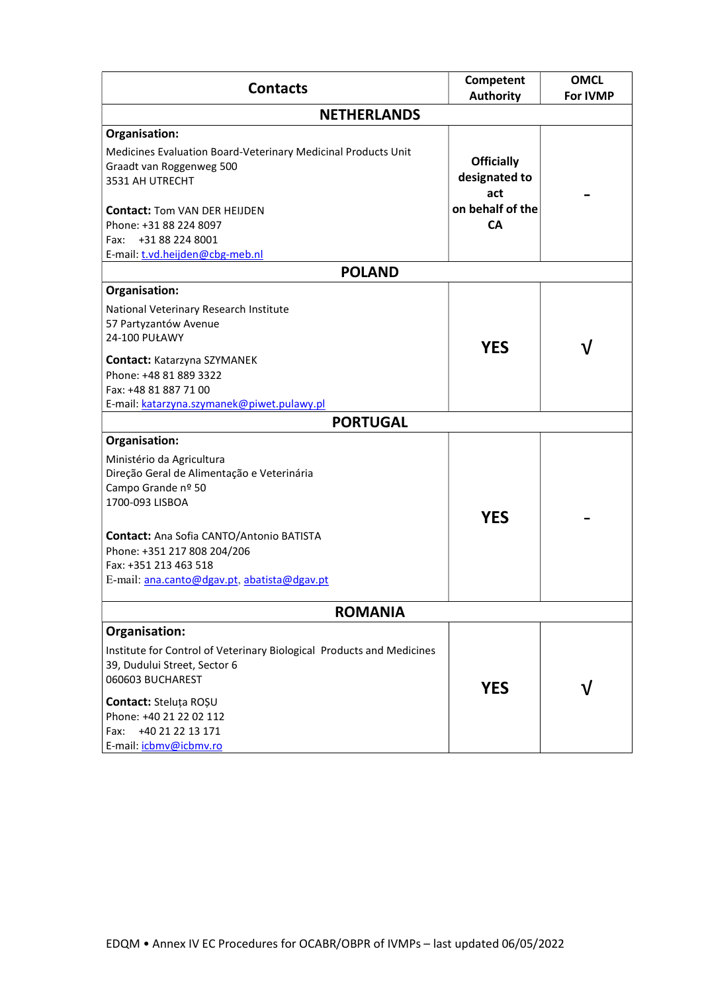| <b>Contacts</b>                                                                                                                     | <b>Competent</b><br><b>Authority</b>      | <b>OMCL</b><br><b>For IVMP</b> |  |
|-------------------------------------------------------------------------------------------------------------------------------------|-------------------------------------------|--------------------------------|--|
| <b>NETHERLANDS</b>                                                                                                                  |                                           |                                |  |
| Organisation:                                                                                                                       |                                           |                                |  |
| Medicines Evaluation Board-Veterinary Medicinal Products Unit<br>Graadt van Roggenweg 500<br>3531 AH UTRECHT                        | <b>Officially</b><br>designated to<br>act |                                |  |
| <b>Contact: Tom VAN DER HEIJDEN</b><br>Phone: +31 88 224 8097                                                                       | on behalf of the<br><b>CA</b>             |                                |  |
| +31 88 224 8001<br>Fax:                                                                                                             |                                           |                                |  |
| E-mail: t.vd.heijden@cbg-meb.nl                                                                                                     |                                           |                                |  |
| <b>POLAND</b>                                                                                                                       |                                           |                                |  |
| Organisation:                                                                                                                       |                                           |                                |  |
| National Veterinary Research Institute<br>57 Partyzantów Avenue<br><b>24-100 PUŁAWY</b>                                             |                                           |                                |  |
|                                                                                                                                     | <b>YES</b>                                |                                |  |
| <b>Contact: Katarzyna SZYMANEK</b><br>Phone: +48 81 889 3322<br>Fax: +48 81 887 71 00<br>E-mail: katarzyna.szymanek@piwet.pulawy.pl |                                           |                                |  |
| <b>PORTUGAL</b>                                                                                                                     |                                           |                                |  |
| Organisation:                                                                                                                       |                                           |                                |  |
| Ministério da Agricultura<br>Direção Geral de Alimentação e Veterinária<br>Campo Grande nº 50<br>1700-093 LISBOA                    | <b>YES</b>                                |                                |  |
| <b>Contact:</b> Ana Sofia CANTO/Antonio BATISTA                                                                                     |                                           |                                |  |
| Phone: +351 217 808 204/206                                                                                                         |                                           |                                |  |
| Fax: +351 213 463 518                                                                                                               |                                           |                                |  |
| E-mail: ana.canto@dgav.pt, abatista@dgav.pt                                                                                         |                                           |                                |  |
| <b>ROMANIA</b>                                                                                                                      |                                           |                                |  |
| Organisation:                                                                                                                       |                                           |                                |  |
| Institute for Control of Veterinary Biological Products and Medicines<br>39, Dudului Street, Sector 6<br>060603 BUCHAREST           |                                           |                                |  |
| Contact: Steluța ROȘU                                                                                                               | <b>YES</b>                                |                                |  |
| Phone: +40 21 22 02 112                                                                                                             |                                           |                                |  |
| +40 21 22 13 171<br>Fax:                                                                                                            |                                           |                                |  |
| E-mail: icbmv@icbmv.ro                                                                                                              |                                           |                                |  |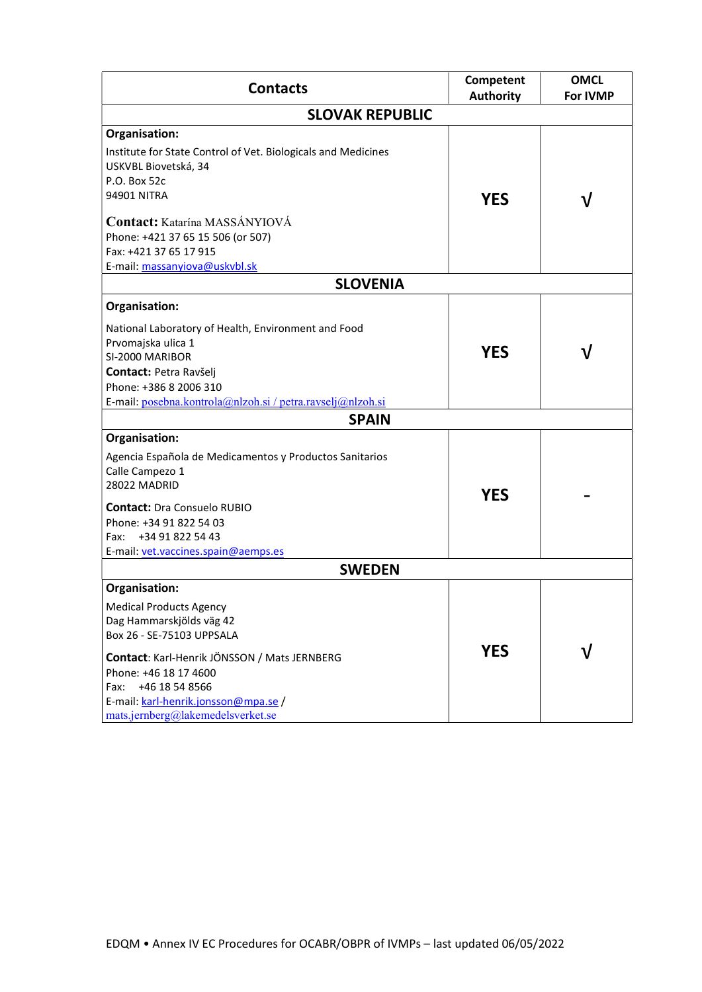| <b>Contacts</b>                                                                                                                                                                                                       | <b>Competent</b><br><b>Authority</b> | <b>OMCL</b><br><b>For IVMP</b> |
|-----------------------------------------------------------------------------------------------------------------------------------------------------------------------------------------------------------------------|--------------------------------------|--------------------------------|
| <b>SLOVAK REPUBLIC</b>                                                                                                                                                                                                |                                      |                                |
| Organisation:                                                                                                                                                                                                         |                                      |                                |
| Institute for State Control of Vet. Biologicals and Medicines<br>USKVBL Biovetská, 34<br>P.O. Box 52c<br><b>94901 NITRA</b>                                                                                           | <b>YES</b>                           |                                |
| Contact: Katarína MASSÁNYIOVÁ<br>Phone: +421 37 65 15 506 (or 507)<br>Fax: +421 37 65 17 915<br>E-mail: massanyiova@uskvbl.sk                                                                                         |                                      |                                |
| <b>SLOVENIA</b>                                                                                                                                                                                                       |                                      |                                |
| Organisation:                                                                                                                                                                                                         |                                      |                                |
| National Laboratory of Health, Environment and Food<br>Prvomajska ulica 1<br>SI-2000 MARIBOR<br><b>Contact: Petra Ravšeli</b><br>Phone: +386 8 2006 310<br>E-mail: posebna.kontrola@nlzoh.si / petra.ravselj@nlzoh.si | <b>YES</b>                           |                                |
| <b>SPAIN</b>                                                                                                                                                                                                          |                                      |                                |
| Organisation:                                                                                                                                                                                                         |                                      |                                |
| Agencia Española de Medicamentos y Productos Sanitarios<br>Calle Campezo 1<br>28022 MADRID                                                                                                                            | <b>YES</b>                           |                                |
| <b>Contact: Dra Consuelo RUBIO</b>                                                                                                                                                                                    |                                      |                                |
| Phone: +34 91 822 54 03<br>+34 91 822 54 43<br>Fax:<br>E-mail: vet.vaccines.spain@aemps.es                                                                                                                            |                                      |                                |
| <b>SWEDEN</b>                                                                                                                                                                                                         |                                      |                                |
| Organisation:                                                                                                                                                                                                         |                                      |                                |
| <b>Medical Products Agency</b><br>Dag Hammarskjölds väg 42<br>Box 26 - SE-75103 UPPSALA                                                                                                                               |                                      |                                |
| Contact: Karl-Henrik JÖNSSON / Mats JERNBERG<br>Phone: +46 18 17 4600<br>+46 18 54 8566<br>Fax:<br>E-mail: karl-henrik.jonsson@mpa.se /<br>mats.jernberg@lakemedelsverket.se                                          | <b>YES</b>                           |                                |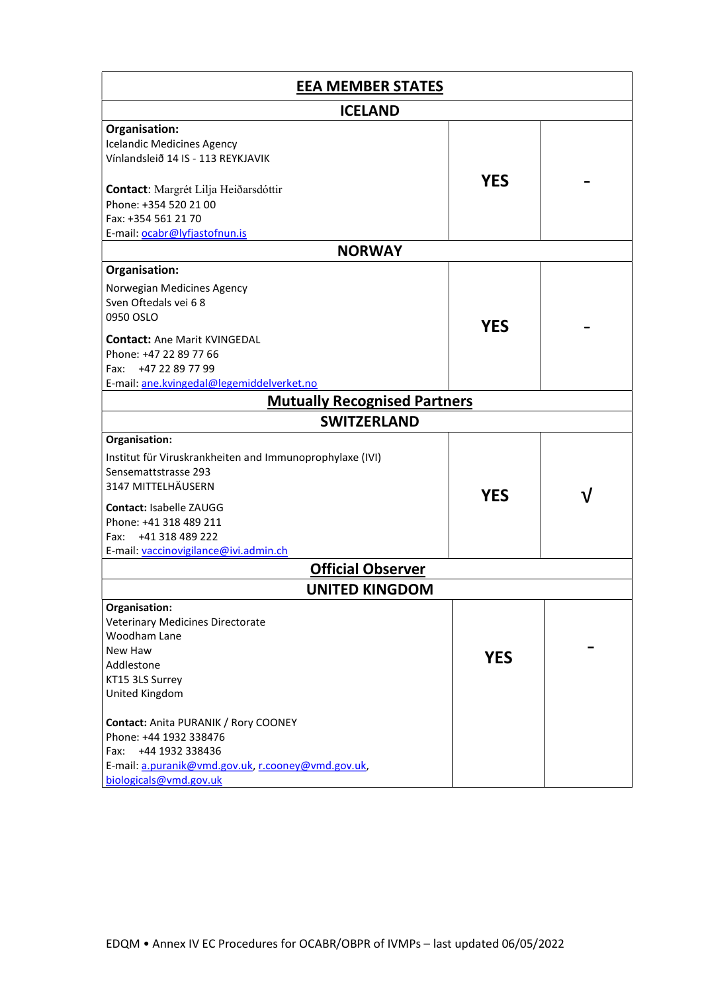| <b>EEA MEMBER STATES</b>                                 |            |  |
|----------------------------------------------------------|------------|--|
| <b>ICELAND</b>                                           |            |  |
| Organisation:                                            |            |  |
| <b>Icelandic Medicines Agency</b>                        |            |  |
| Vínlandsleið 14 IS - 113 REYKJAVIK                       |            |  |
| Contact: Margrét Lilja Heiðarsdóttir                     | <b>YES</b> |  |
| Phone: +354 520 21 00                                    |            |  |
| Fax: +354 561 21 70                                      |            |  |
| E-mail: ocabr@lyfjastofnun.is                            |            |  |
| <b>NORWAY</b>                                            |            |  |
| Organisation:                                            |            |  |
|                                                          |            |  |
| Norwegian Medicines Agency                               |            |  |
| Sven Oftedals vei 68                                     |            |  |
| 0950 OSLO                                                | <b>YES</b> |  |
| <b>Contact:</b> Ane Marit KVINGEDAL                      |            |  |
| Phone: +47 22 89 77 66                                   |            |  |
| +47 22 89 77 99<br>Fax:                                  |            |  |
|                                                          |            |  |
| E-mail: ane.kvingedal@legemiddelverket.no                |            |  |
| <b>Mutually Recognised Partners</b>                      |            |  |
| <b>SWITZERLAND</b>                                       |            |  |
| Organisation:                                            |            |  |
| Institut für Viruskrankheiten and Immunoprophylaxe (IVI) |            |  |
| Sensemattstrasse 293                                     |            |  |
| 3147 MITTELHÄUSERN                                       |            |  |
|                                                          | <b>YES</b> |  |
| Contact: Isabelle ZAUGG                                  |            |  |
| Phone: +41 318 489 211                                   |            |  |
| Fax: +41 318 489 222                                     |            |  |
| E-mail: vaccinovigilance@ivi.admin.ch                    |            |  |
| <b>Official Observer</b>                                 |            |  |
| <b>UNITED KINGDOM</b>                                    |            |  |
| Organisation:                                            |            |  |
| Veterinary Medicines Directorate                         |            |  |
| Woodham Lane                                             |            |  |
| New Haw                                                  | <b>YES</b> |  |
| Addlestone                                               |            |  |
| KT15 3LS Surrey                                          |            |  |
| United Kingdom                                           |            |  |
| Contact: Anita PURANIK / Rory COONEY                     |            |  |
| Phone: +44 1932 338476                                   |            |  |
| +44 1932 338436<br>Fax:                                  |            |  |
| E-mail: a.puranik@vmd.gov.uk, r.cooney@vmd.gov.uk,       |            |  |
| biologicals@vmd.gov.uk                                   |            |  |